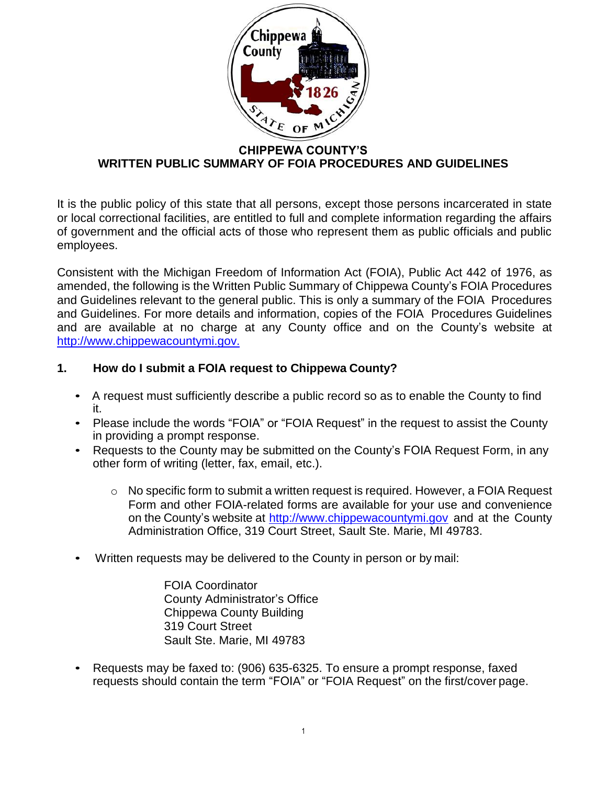

#### **CHIPPEWA COUNTY'S WRITTEN PUBLIC SUMMARY OF FOIA PROCEDURES AND GUIDELINES**

It is the public policy of this state that all persons, except those persons incarcerated in state or local correctional facilities, are entitled to full and complete information regarding the affairs of government and the official acts of those who represent them as public officials and public employees.

Consistent with the Michigan Freedom of Information Act (FOIA), Public Act 442 of 1976, as amended, the following is the Written Public Summary of Chippewa County's FOIA Procedures and Guidelines relevant to the general public. This is only a summary of the FOIA Procedures and Guidelines. For more details and information, copies of the FOIA Procedures Guidelines and are available at no charge at any County office and on the County's website at [http://www.chippewacountymi.gov.](http://www.chippewacountymi.gov./)

#### **1. How do I submit a FOIA request to Chippewa County?**

- A request must sufficiently describe a public record so as to enable the County to find it.
- Please include the words "FOIA" or "FOIA Request" in the request to assist the County in providing a prompt response.
- Requests to the County may be submitted on the County's FOIA Request Form, in any other form of writing (letter, fax, email, etc.).
	- $\circ$  No specific form to submit a written request is required. However, a FOIA Request Form and other FOIA-related forms are available for your use and convenience on the County's website at [http://www.chippewacountymi.gov](http://www.chippewacountymi.gov/) and at the County Administration Office, 319 Court Street, Sault Ste. Marie, MI 49783.
- Written requests may be delivered to the County in person or by mail:

FOIA Coordinator County Administrator's Office Chippewa County Building 319 Court Street Sault Ste. Marie, MI 49783

• Requests may be faxed to: (906) 635-6325. To ensure a prompt response, faxed requests should contain the term "FOIA" or "FOIA Request" on the first/cover page.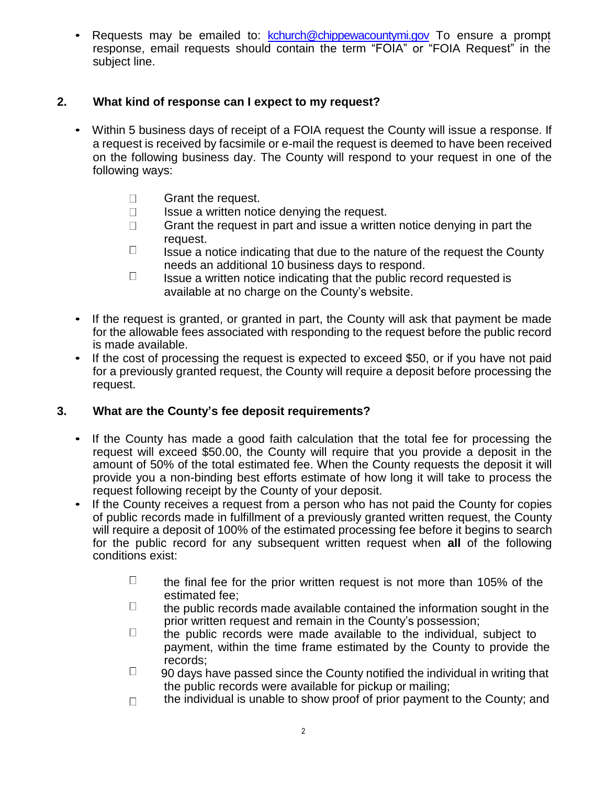• Requests may be emailed to: [kchurch@chippewacountymi.gov](mailto:kchurch@chippewacountymi.gov) To ensure a prompt response, email requests should contain the term "FOIA" or "FOIA Request" in the subject line.

### **2. What kind of response can I expect to my request?**

- Within 5 business days of receipt of a FOIA request the County will issue a response. If a request is received by facsimile or e-mail the request is deemed to have been received on the following business day. The County will respond to your request in one of the following ways:
	- $\Box$ Grant the request.
	- $\Box$ Issue a written notice denying the request.
	- Grant the request in part and issue a written notice denying in part the  $\Box$ request.
	- $\Box$  Issue a notice indicating that due to the nature of the request the County needs an additional 10 business days to respond.
	- $\Box$  Issue a written notice indicating that the public record requested is available at no charge on the County's website.
- If the request is granted, or granted in part, the County will ask that payment be made for the allowable fees associated with responding to the request before the public record is made available.
- If the cost of processing the request is expected to exceed \$50, or if you have not paid for a previously granted request, the County will require a deposit before processing the request.

### **3. What are the County's fee deposit requirements?**

- If the County has made a good faith calculation that the total fee for processing the request will exceed \$50.00, the County will require that you provide a deposit in the amount of 50% of the total estimated fee. When the County requests the deposit it will provide you a non-binding best efforts estimate of how long it will take to process the request following receipt by the County of your deposit.
- If the County receives a request from a person who has not paid the County for copies of public records made in fulfillment of a previously granted written request, the County will require a deposit of 100% of the estimated processing fee before it begins to search for the public record for any subsequent written request when **all** of the following conditions exist:
	- $\Box$  the final fee for the prior written request is not more than 105% of the estimated fee;
	- $\Box$  the public records made available contained the information sought in the prior written request and remain in the County's possession;
	- $\Box$  the public records were made available to the individual, subject to payment, within the time frame estimated by the County to provide the records;
	- $\Box$  90 days have passed since the County notified the individual in writing that the public records were available for pickup or mailing;
	- the individual is unable to show proof of prior payment to the County; and $\Box$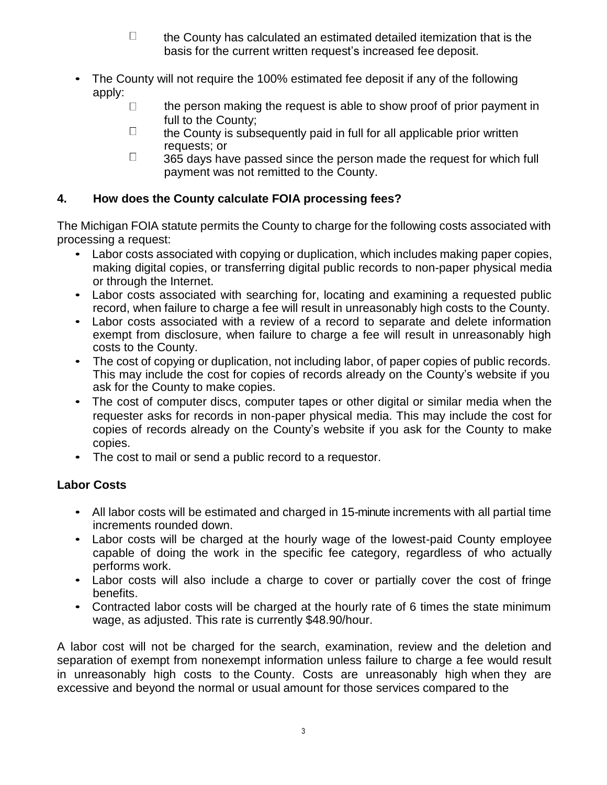- $\Box$  the County has calculated an estimated detailed itemization that is the basis for the current written request's increased fee deposit.
- The County will not require the 100% estimated fee deposit if any of the following apply:
	- $\Box$ the person making the request is able to show proof of prior payment in full to the County;
	- $\Box$  the County is subsequently paid in full for all applicable prior written requests; or
	- $\Box$  365 days have passed since the person made the request for which full payment was not remitted to the County.

# **4. How does the County calculate FOIA processing fees?**

The Michigan FOIA statute permits the County to charge for the following costs associated with processing a request:

- Labor costs associated with copying or duplication, which includes making paper copies, making digital copies, or transferring digital public records to non-paper physical media or through the Internet.
- Labor costs associated with searching for, locating and examining a requested public record, when failure to charge a fee will result in unreasonably high costs to the County.
- Labor costs associated with a review of a record to separate and delete information exempt from disclosure, when failure to charge a fee will result in unreasonably high costs to the County.
- The cost of copying or duplication, not including labor, of paper copies of public records. This may include the cost for copies of records already on the County's website if you ask for the County to make copies.
- The cost of computer discs, computer tapes or other digital or similar media when the requester asks for records in non-paper physical media. This may include the cost for copies of records already on the County's website if you ask for the County to make copies.
- The cost to mail or send a public record to a requestor.

# **Labor Costs**

- All labor costs will be estimated and charged in 15-minute increments with all partial time increments rounded down.
- Labor costs will be charged at the hourly wage of the lowest-paid County employee capable of doing the work in the specific fee category, regardless of who actually performs work.
- Labor costs will also include a charge to cover or partially cover the cost of fringe benefits.
- Contracted labor costs will be charged at the hourly rate of 6 times the state minimum wage, as adjusted. This rate is currently \$48.90/hour.

A labor cost will not be charged for the search, examination, review and the deletion and separation of exempt from nonexempt information unless failure to charge a fee would result in unreasonably high costs to the County. Costs are unreasonably high when they are excessive and beyond the normal or usual amount for those services compared to the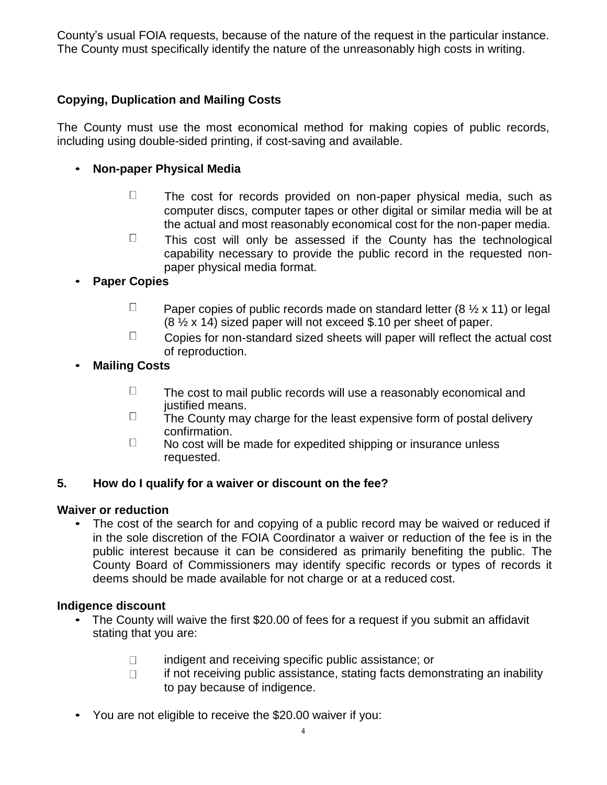County's usual FOIA requests, because of the nature of the request in the particular instance. The County must specifically identify the nature of the unreasonably high costs in writing.

# **Copying, Duplication and Mailing Costs**

The County must use the most economical method for making copies of public records, including using double-sided printing, if cost-saving and available.

#### • **Non-paper Physical Media**

- $\Box$  The cost for records provided on non-paper physical media, such as computer discs, computer tapes or other digital or similar media will be at the actual and most reasonably economical cost for the non-paper media.
- $\Box$  This cost will only be assessed if the County has the technological capability necessary to provide the public record in the requested nonpaper physical media format.

### • **Paper Copies**

- $\Box$ Paper copies of public records made on standard letter (8  $\frac{1}{2}$  x 11) or legal (8 ½ x 14) sized paper will not exceed \$.10 per sheet of paper.
- $\Box$  Copies for non-standard sized sheets will paper will reflect the actual cost of reproduction.

### • **Mailing Costs**

- $\Box$  The cost to mail public records will use a reasonably economical and justified means.
- $\Box$  The County may charge for the least expensive form of postal delivery confirmation.
- $\Box$  No cost will be made for expedited shipping or insurance unless requested.

#### **5. How do I qualify for a waiver or discount on the fee?**

#### **Waiver or reduction**

• The cost of the search for and copying of a public record may be waived or reduced if in the sole discretion of the FOIA Coordinator a waiver or reduction of the fee is in the public interest because it can be considered as primarily benefiting the public. The County Board of Commissioners may identify specific records or types of records it deems should be made available for not charge or at a reduced cost.

#### **Indigence discount**

- The County will waive the first \$20.00 of fees for a request if you submit an affidavit stating that you are:
	- indigent and receiving specific public assistance; or  $\Box$
	- $\Box$ if not receiving public assistance, stating facts demonstrating an inability to pay because of indigence.
- You are not eligible to receive the \$20.00 waiver if you: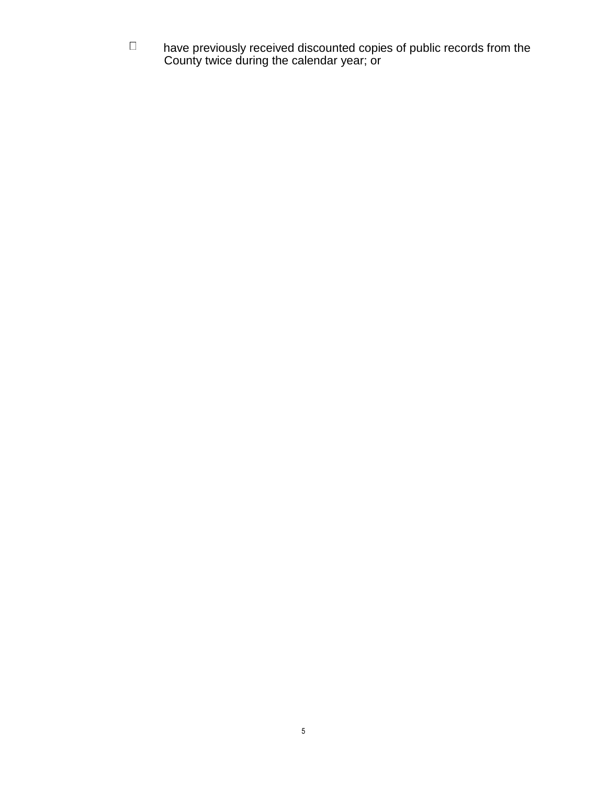$\Box$  have previously received discounted copies of public records from the County twice during the calendar year; or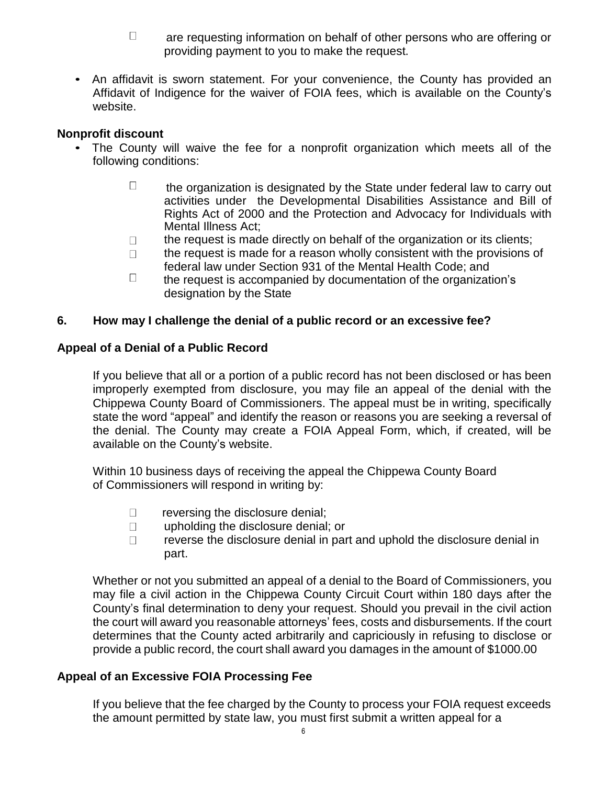- $\Box$  are requesting information on behalf of other persons who are offering or providing payment to you to make the request.
- An affidavit is sworn statement. For your convenience, the County has provided an Affidavit of Indigence for the waiver of FOIA fees, which is available on the County's website.

#### **Nonprofit discount**

- The County will waive the fee for a nonprofit organization which meets all of the following conditions:
	- $\Box$  the organization is designated by the State under federal law to carry out activities under the Developmental Disabilities Assistance and Bill of Rights Act of 2000 and the Protection and Advocacy for Individuals with Mental Illness Act;
	- the request is made directly on behalf of the organization or its clients;  $\Box$
	- the request is made for a reason wholly consistent with the provisions of  $\Box$ federal law under Section 931 of the Mental Health Code; and
	- $\Box$  the request is accompanied by documentation of the organization's designation by the State

#### **6. How may I challenge the denial of a public record or an excessive fee?**

#### **Appeal of a Denial of a Public Record**

If you believe that all or a portion of a public record has not been disclosed or has been improperly exempted from disclosure, you may file an appeal of the denial with the Chippewa County Board of Commissioners. The appeal must be in writing, specifically state the word "appeal" and identify the reason or reasons you are seeking a reversal of the denial. The County may create a FOIA Appeal Form, which, if created, will be available on the County's website.

Within 10 business days of receiving the appeal the Chippewa County Board of Commissioners will respond in writing by:

- $\Box$  reversing the disclosure denial;
- upholding the disclosure denial; or  $\Box$
- $\Box$ reverse the disclosure denial in part and uphold the disclosure denial in part.

Whether or not you submitted an appeal of a denial to the Board of Commissioners, you may file a civil action in the Chippewa County Circuit Court within 180 days after the County's final determination to deny your request. Should you prevail in the civil action the court will award you reasonable attorneys' fees, costs and disbursements. If the court determines that the County acted arbitrarily and capriciously in refusing to disclose or provide a public record, the court shall award you damages in the amount of \$1000.00

### **Appeal of an Excessive FOIA Processing Fee**

If you believe that the fee charged by the County to process your FOIA request exceeds the amount permitted by state law, you must first submit a written appeal for a